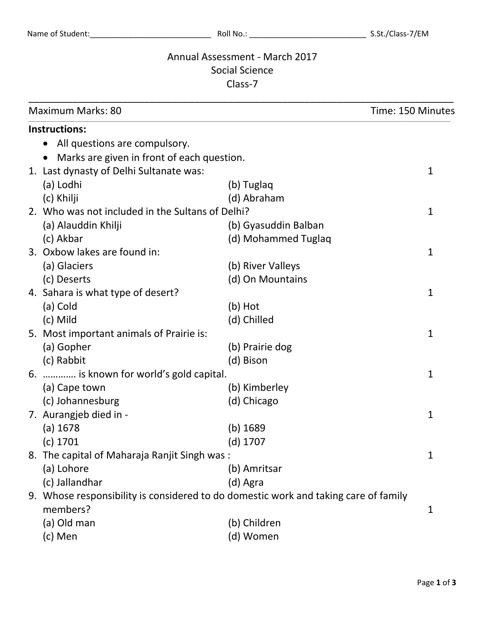## Annual Assessment - March 2017 Social Science Class-7

| <b>Maximum Marks: 80</b>                                                            |                      | Time: 150 Minutes |
|-------------------------------------------------------------------------------------|----------------------|-------------------|
| Instructions:                                                                       |                      |                   |
| All questions are compulsory.                                                       |                      |                   |
| Marks are given in front of each question.                                          |                      |                   |
| 1. Last dynasty of Delhi Sultanate was:                                             |                      | 1                 |
| (a) Lodhi                                                                           | (b) Tuglaq           |                   |
| (c) Khilji                                                                          | (d) Abraham          |                   |
| 2. Who was not included in the Sultans of Delhi?                                    |                      | 1                 |
| (a) Alauddin Khilji                                                                 | (b) Gyasuddin Balban |                   |
| (c) Akbar                                                                           | (d) Mohammed Tuglaq  |                   |
| 3. Oxbow lakes are found in:                                                        |                      | $\mathbf{1}$      |
| (a) Glaciers                                                                        | (b) River Valleys    |                   |
| (c) Deserts                                                                         | (d) On Mountains     |                   |
| 4. Sahara is what type of desert?                                                   |                      | 1                 |
| (a) Cold                                                                            | (b) Hot              |                   |
| (c) Mild                                                                            | (d) Chilled          |                   |
| 5. Most important animals of Prairie is:                                            |                      | 1                 |
| (a) Gopher                                                                          | (b) Prairie dog      |                   |
| (c) Rabbit                                                                          | (d) Bison            |                   |
| 6.  is known for world's gold capital.                                              |                      | $\mathbf{1}$      |
| (a) Cape town                                                                       | (b) Kimberley        |                   |
| (c) Johannesburg                                                                    | (d) Chicago          |                   |
| 7. Aurangjeb died in -                                                              |                      | 1                 |
| (a) 1678                                                                            | $(b)$ 1689           |                   |
| (c) 1701                                                                            | (d) 1707             |                   |
| 8. The capital of Maharaja Ranjit Singh was:                                        |                      | 1                 |
| (a) Lohore                                                                          | (b) Amritsar         |                   |
| (c) Jallandhar                                                                      | (d) Agra             |                   |
| 9. Whose responsibility is considered to do domestic work and taking care of family |                      |                   |
| members?                                                                            |                      | 1                 |
| (a) Old man                                                                         | (b) Children         |                   |
| (c) Men                                                                             | (d) Women            |                   |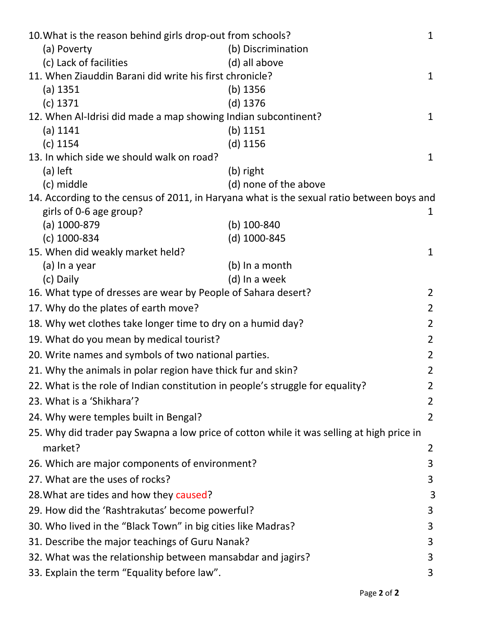| 10. What is the reason behind girls drop-out from schools?<br>$\mathbf{1}$                |                |  |  |  |
|-------------------------------------------------------------------------------------------|----------------|--|--|--|
| (a) Poverty<br>(b) Discrimination                                                         |                |  |  |  |
| (c) Lack of facilities<br>(d) all above                                                   |                |  |  |  |
| 11. When Ziauddin Barani did write his first chronicle?                                   | $\mathbf{1}$   |  |  |  |
| $(a)$ 1351<br>$(b)$ 1356                                                                  |                |  |  |  |
| $(d)$ 1376<br>$(c)$ 1371                                                                  |                |  |  |  |
| 12. When Al-Idrisi did made a map showing Indian subcontinent?                            |                |  |  |  |
| $(a)$ 1141<br>(b) $1151$                                                                  |                |  |  |  |
| $(c)$ 1154<br>$(d)$ 1156                                                                  |                |  |  |  |
| 13. In which side we should walk on road?                                                 |                |  |  |  |
| (a) left<br>(b) right                                                                     |                |  |  |  |
| (c) middle<br>(d) none of the above                                                       |                |  |  |  |
| 14. According to the census of 2011, in Haryana what is the sexual ratio between boys and |                |  |  |  |
| girls of 0-6 age group?                                                                   | $\mathbf{1}$   |  |  |  |
| $(a)$ 1000-879<br>(b) $100 - 840$                                                         |                |  |  |  |
| $(c)$ 1000-834<br>(d) 1000-845                                                            |                |  |  |  |
| 15. When did weakly market held?                                                          | $\mathbf{1}$   |  |  |  |
| (a) In a year<br>(b) In a month                                                           |                |  |  |  |
| (d) In a week<br>(c) Daily                                                                | $\overline{2}$ |  |  |  |
| 16. What type of dresses are wear by People of Sahara desert?<br>$\overline{2}$           |                |  |  |  |
| 17. Why do the plates of earth move?                                                      |                |  |  |  |
| 18. Why wet clothes take longer time to dry on a humid day?                               |                |  |  |  |
| 19. What do you mean by medical tourist?                                                  |                |  |  |  |
| 20. Write names and symbols of two national parties.                                      |                |  |  |  |
| 21. Why the animals in polar region have thick fur and skin?                              |                |  |  |  |
| 22. What is the role of Indian constitution in people's struggle for equality?            |                |  |  |  |
| 23. What is a 'Shikhara'?                                                                 |                |  |  |  |
| 24. Why were temples built in Bengal?<br>$\overline{2}$                                   |                |  |  |  |
| 25. Why did trader pay Swapna a low price of cotton while it was selling at high price in |                |  |  |  |
| market?                                                                                   | $\overline{2}$ |  |  |  |
| 26. Which are major components of environment?                                            | 3              |  |  |  |
| 27. What are the uses of rocks?                                                           |                |  |  |  |
| 28. What are tides and how they caused?                                                   |                |  |  |  |
| 29. How did the 'Rashtrakutas' become powerful?                                           |                |  |  |  |
| 30. Who lived in the "Black Town" in big cities like Madras?<br>3                         |                |  |  |  |
| 31. Describe the major teachings of Guru Nanak?                                           |                |  |  |  |
| 32. What was the relationship between mansabdar and jagirs?<br>3                          |                |  |  |  |
| 33. Explain the term "Equality before law".<br>3                                          |                |  |  |  |